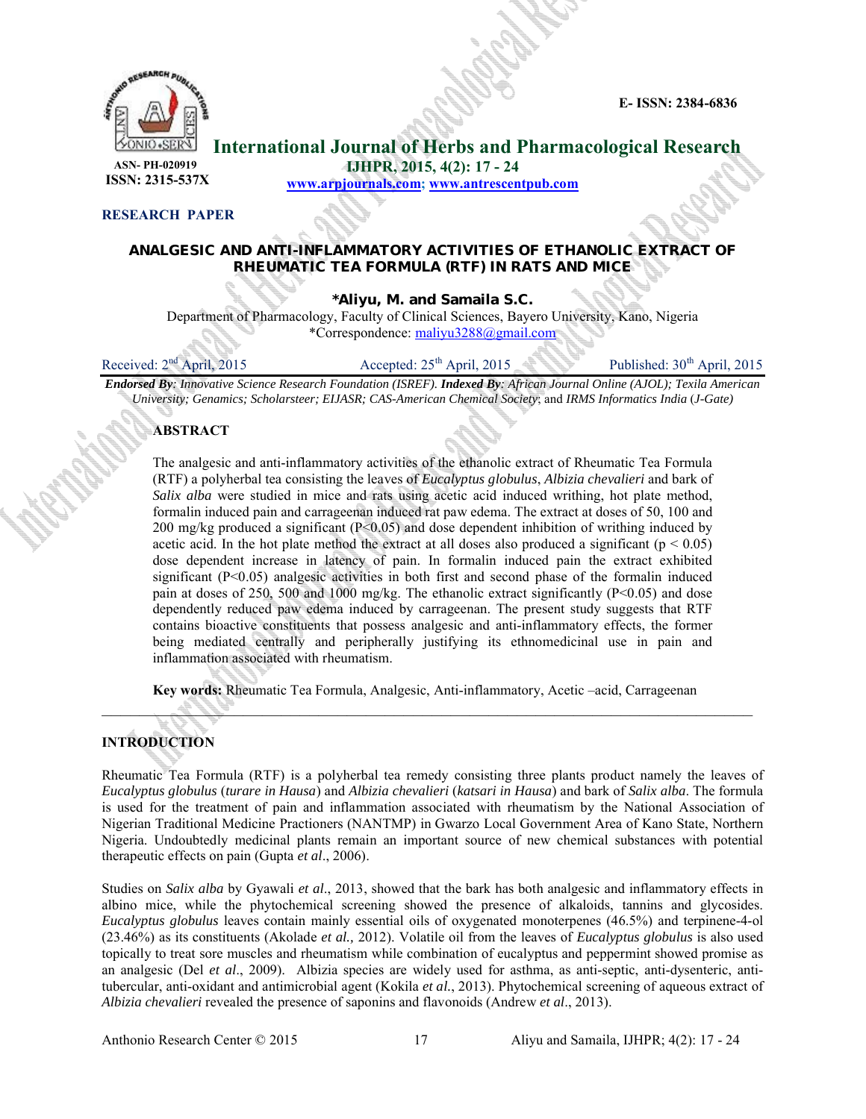**E- ISSN: 2384-6836**



**International Journal of Herbs and Pharmacological Research**

 **ISSN: 2315-537X**

**IJHPR, 2015, 4(2): 17 - 24**

**www.arpjournals.com; www.antrescentpub.com**

### **RESEARCH PAPER**

# **ANALGESIC AND ANTI-INFLAMMATORY ACTIVITIES OF ETHANOLIC EXTRACT OF RHEUMATIC TEA FORMULA (RTF) IN RATS AND MICE**

*\****Aliyu, M. and Samaila S.C.**

Department of Pharmacology, Faculty of Clinical Sciences, Bayero University, Kano, Nigeria \*Correspondence: maliyu3288@gmail.com

Received:  $2<sup>nd</sup>$  April, 2015 Accepted:  $25<sup>th</sup>$  April, 2015 Published:  $30<sup>th</sup>$  April, 2015

*Endorsed By: Innovative Science Research Foundation (ISREF). Indexed By: African Journal Online (AJOL); Texila American University; Genamics; Scholarsteer; EIJASR; CAS-American Chemical Society*; and *IRMS Informatics India* (*J-Gate)*

## **ABSTRACT**

The analgesic and anti-inflammatory activities of the ethanolic extract of Rheumatic Tea Formula (RTF) a polyherbal tea consisting the leaves of *Eucalyptus globulus*, *Albizia chevalieri* and bark of *Salix alba* were studied in mice and rats using acetic acid induced writhing, hot plate method, formalin induced pain and carrageenan induced rat paw edema. The extract at doses of 50, 100 and 200 mg/kg produced a significant (P<0.05) and dose dependent inhibition of writhing induced by acetic acid. In the hot plate method the extract at all doses also produced a significant ( $p < 0.05$ ) dose dependent increase in latency of pain. In formalin induced pain the extract exhibited significant (P<0.05) analgesic activities in both first and second phase of the formalin induced pain at doses of 250, 500 and 1000 mg/kg. The ethanolic extract significantly  $(P<0.05)$  and dose dependently reduced paw edema induced by carrageenan. The present study suggests that RTF contains bioactive constituents that possess analgesic and anti-inflammatory effects, the former being mediated centrally and peripherally justifying its ethnomedicinal use in pain and inflammation associated with rheumatism.

**Key words:** Rheumatic Tea Formula, Analgesic, Anti-inflammatory, Acetic –acid, Carrageenan **\_\_\_\_\_\_\_\_\_\_\_\_\_\_\_\_\_\_\_\_\_\_\_\_\_\_\_\_\_\_\_\_\_\_\_\_\_\_\_\_\_\_\_\_\_\_\_\_\_\_\_\_\_\_\_\_\_\_\_\_\_\_\_\_\_\_\_\_\_**

# **INTRODUCTION**

Rheumatic Tea Formula (RTF) is a polyherbal tea remedy consisting three plants product namely the leaves of *Eucalyptus globulus* (*turare in Hausa*) and *Albizia chevalieri* (*katsari in Hausa*) and bark of *Salix alba*. The formula is used for the treatment of pain and inflammation associated with rheumatism by the National Association of Nigerian Traditional Medicine Practioners (NANTMP) in Gwarzo Local Government Area of Kano State, Northern Nigeria. Undoubtedly medicinal plants remain an important source of new chemical substances with potential therapeutic effects on pain (Gupta *et al*., 2006).

Studies on *Salix alba* by Gyawali *et al*., 2013, showed that the bark has both analgesic and inflammatory effects in albino mice, while the phytochemical screening showed the presence of alkaloids, tannins and glycosides. *Eucalyptus globulus* leaves contain mainly essential oils of oxygenated monoterpenes (46.5%) and terpinene-4-ol (23.46%) as its constituents (Akolade *et al.,* 2012). Volatile oil from the leaves of *Eucalyptus globulus* is also used topically to treat sore muscles and rheumatism while combination of eucalyptus and peppermint showed promise as an analgesic (Del *et al*., 2009). Albizia species are widely used for asthma, as anti-septic, anti-dysenteric, antitubercular, anti-oxidant and antimicrobial agent (Kokila *et al.*, 2013). Phytochemical screening of aqueous extract of *Albizia chevalieri* revealed the presence of saponins and flavonoids (Andrew *et al*., 2013).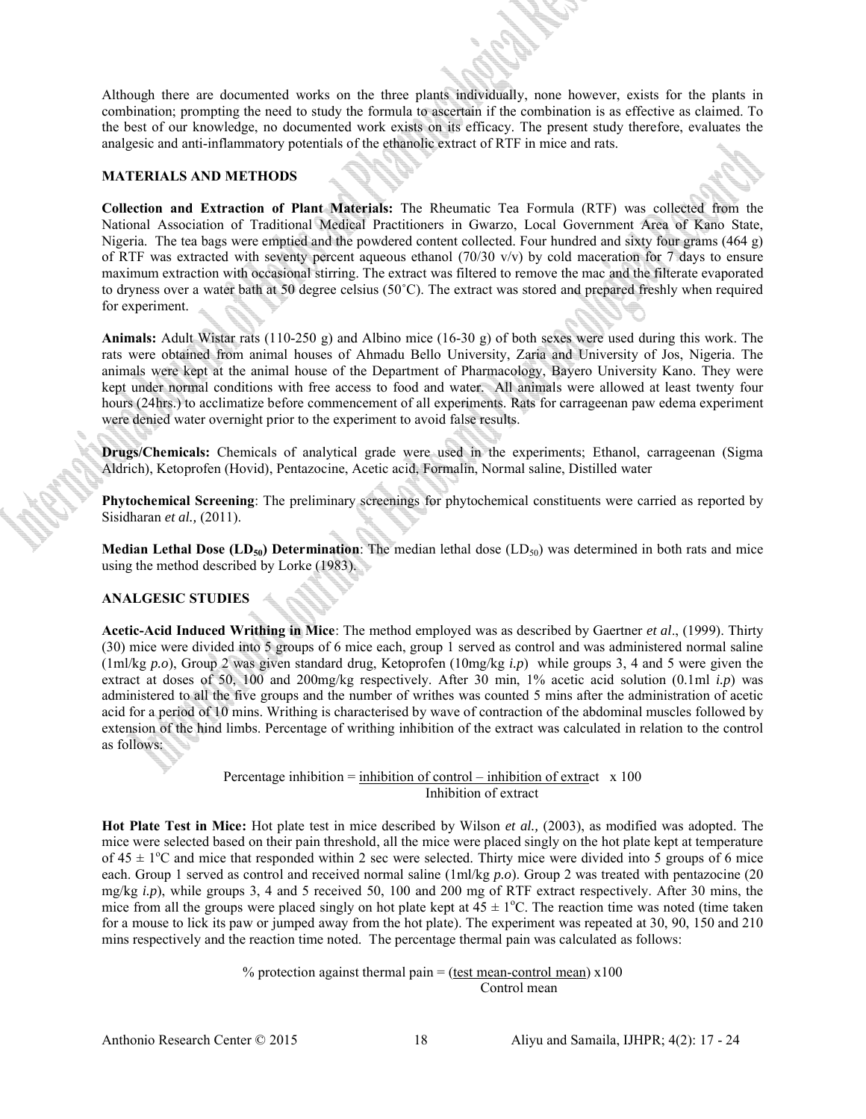Although there are documented works on the three plants individually, none however, exists for the plants in combination; prompting the need to study the formula to ascertain if the combination is as effective as claimed. To the best of our knowledge, no documented work exists on its efficacy. The present study therefore, evaluates the analgesic and anti-inflammatory potentials of the ethanolic extract of RTF in mice and rats.

#### **MATERIALS AND METHODS**

**Collection and Extraction of Plant Materials:** The Rheumatic Tea Formula (RTF) was collected from the National Association of Traditional Medical Practitioners in Gwarzo, Local Government Area of Kano State, Nigeria. The tea bags were emptied and the powdered content collected. Four hundred and sixty four grams (464 g) of RTF was extracted with seventy percent aqueous ethanol (70/30 v/v) by cold maceration for 7 days to ensure maximum extraction with occasional stirring. The extract was filtered to remove the mac and the filterate evaporated to dryness over a water bath at 50 degree celsius (50˚C). The extract was stored and prepared freshly when required for experiment.

**Animals:** Adult Wistar rats (110-250 g) and Albino mice (16-30 g) of both sexes were used during this work. The rats were obtained from animal houses of Ahmadu Bello University, Zaria and University of Jos, Nigeria. The animals were kept at the animal house of the Department of Pharmacology, Bayero University Kano. They were kept under normal conditions with free access to food and water. All animals were allowed at least twenty four hours (24hrs.) to acclimatize before commencement of all experiments. Rats for carrageenan paw edema experiment were denied water overnight prior to the experiment to avoid false results.

**Drugs/Chemicals:** Chemicals of analytical grade were used in the experiments; Ethanol, carrageenan (Sigma Aldrich), Ketoprofen (Hovid), Pentazocine, Acetic acid, Formalin, Normal saline, Distilled water

**Phytochemical Screening**: The preliminary screenings for phytochemical constituents were carried as reported by Sisidharan *et al.,* (2011).

**Median Lethal Dose (LD<sub>50</sub>) Determination**: The median lethal dose (LD<sub>50</sub>) was determined in both rats and mice using the method described by Lorke (1983).

## **ANALGESIC STUDIES**

**Acetic-Acid Induced Writhing in Mice**: The method employed was as described by Gaertner *et al*., (1999). Thirty (30) mice were divided into 5 groups of 6 mice each, group 1 served as control and was administered normal saline (1ml/kg *p.o*), Group 2 was given standard drug, Ketoprofen (10mg/kg *i.p*) while groups 3, 4 and 5 were given the extract at doses of 50, 100 and 200mg/kg respectively. After 30 min, 1% acetic acid solution (0.1ml *i.p*) was administered to all the five groups and the number of writhes was counted 5 mins after the administration of acetic acid for a period of 10 mins. Writhing is characterised by wave of contraction of the abdominal muscles followed by extension of the hind limbs. Percentage of writhing inhibition of the extract was calculated in relation to the control as follows:

> Percentage inhibition =  $\frac{\text{inhibition of control - inhibition of extract}}{100}$ Inhibition of extract

**Hot Plate Test in Mice:** Hot plate test in mice described by Wilson *et al.,* (2003), as modified was adopted. The mice were selected based on their pain threshold, all the mice were placed singly on the hot plate kept at temperature of  $45 \pm 1$ <sup>o</sup>C and mice that responded within 2 sec were selected. Thirty mice were divided into 5 groups of 6 mice each. Group 1 served as control and received normal saline (1ml/kg *p.o*). Group 2 was treated with pentazocine (20 mg/kg *i.p*), while groups 3, 4 and 5 received 50, 100 and 200 mg of RTF extract respectively. After 30 mins, the mice from all the groups were placed singly on hot plate kept at  $45 \pm 1$ °C. The reaction time was noted (time taken for a mouse to lick its paw or jumped away from the hot plate). The experiment was repeated at 30, 90, 150 and 210 mins respectively and the reaction time noted. The percentage thermal pain was calculated as follows:

> % protection against thermal pain  $=$  (test mean-control mean)  $x100$ Control mean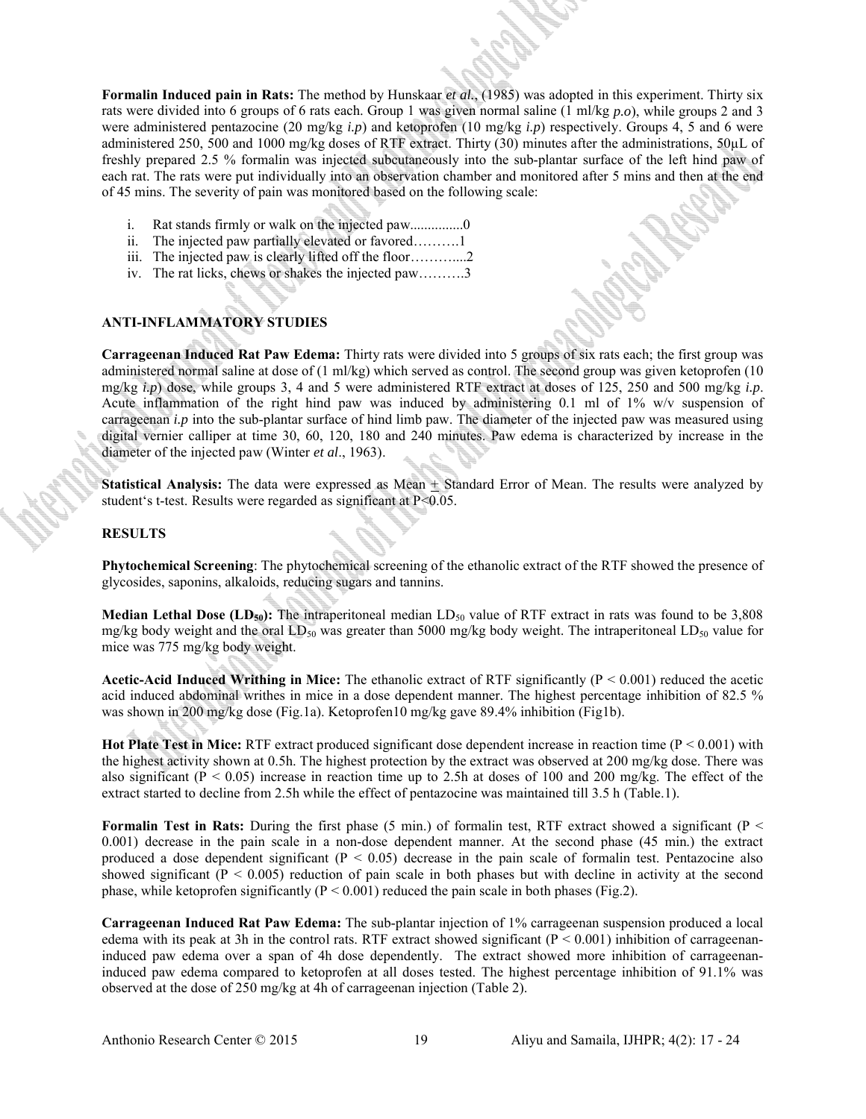**Formalin Induced pain in Rats:** The method by Hunskaar *et al.*, (1985) was adopted in this experiment. Thirty six rats were divided into 6 groups of 6 rats each. Group 1 was given normal saline (1 ml/kg *p.o*), while groups 2 and 3 were administered pentazocine (20 mg/kg *i.p*) and ketoprofen (10 mg/kg *i.p*) respectively. Groups 4, 5 and 6 were administered 250, 500 and 1000 mg/kg doses of RTF extract. Thirty (30) minutes after the administrations, 50µL of freshly prepared 2.5 % formalin was injected subcutaneously into the sub-plantar surface of the left hind paw of each rat. The rats were put individually into an observation chamber and monitored after 5 mins and then at the end of 45 mins. The severity of pain was monitored based on the following scale:

- i. Rat stands firmly or walk on the injected paw.................0
- ii. The injected paw partially elevated or favored……….1
- iii. The injected paw is clearly lifted off the floor………....2
- iv. The rat licks, chews or shakes the injected paw……….3

# **ANTI-INFLAMMATORY STUDIES**

**Carrageenan Induced Rat Paw Edema:** Thirty rats were divided into 5 groups of six rats each; the first group was administered normal saline at dose of (1 ml/kg) which served as control. The second group was given ketoprofen (10 mg/kg *i.p*) dose, while groups 3, 4 and 5 were administered RTF extract at doses of 125, 250 and 500 mg/kg *i.p*. Acute inflammation of the right hind paw was induced by administering 0.1 ml of 1% w/v suspension of carrageenan *i.p* into the sub-plantar surface of hind limb paw. The diameter of the injected paw was measured using digital vernier calliper at time 30, 60, 120, 180 and 240 minutes. Paw edema is characterized by increase in the diameter of the injected paw (Winter *et al*., 1963).

**Statistical Analysis:** The data were expressed as Mean  $\pm$  Standard Error of Mean. The results were analyzed by student's t-test. Results were regarded as significant at P<0.05.

### **RESULTS**

**Phytochemical Screening**: The phytochemical screening of the ethanolic extract of the RTF showed the presence of glycosides, saponins, alkaloids, reducing sugars and tannins.

**Median Lethal Dose (LD<sub>50</sub>):** The intraperitoneal median LD<sub>50</sub> value of RTF extract in rats was found to be 3,808 mg/kg body weight and the oral  $LD_{50}$  was greater than 5000 mg/kg body weight. The intraperitoneal  $LD_{50}$  value for mice was 775 mg/kg body weight.

**Acetic-Acid Induced Writhing in Mice:** The ethanolic extract of RTF significantly (P < 0.001) reduced the acetic acid induced abdominal writhes in mice in a dose dependent manner. The highest percentage inhibition of 82.5 % was shown in 200 mg/kg dose (Fig.1a). Ketoprofen10 mg/kg gave 89.4% inhibition (Fig1b).

**Hot Plate Test in Mice:** RTF extract produced significant dose dependent increase in reaction time (P < 0.001) with the highest activity shown at 0.5h. The highest protection by the extract was observed at 200 mg/kg dose. There was also significant ( $P < 0.05$ ) increase in reaction time up to 2.5h at doses of 100 and 200 mg/kg. The effect of the extract started to decline from 2.5h while the effect of pentazocine was maintained till 3.5 h (Table.1).

**Formalin Test in Rats:** During the first phase (5 min.) of formalin test, RTF extract showed a significant (P < 0.001) decrease in the pain scale in a non-dose dependent manner. At the second phase (45 min.) the extract produced a dose dependent significant ( $P < 0.05$ ) decrease in the pain scale of formalin test. Pentazocine also showed significant ( $P < 0.005$ ) reduction of pain scale in both phases but with decline in activity at the second phase, while ketoprofen significantly  $(P < 0.001)$  reduced the pain scale in both phases (Fig.2).

**Carrageenan Induced Rat Paw Edema:** The sub-plantar injection of 1% carrageenan suspension produced a local edema with its peak at 3h in the control rats. RTF extract showed significant ( $P \le 0.001$ ) inhibition of carrageenaninduced paw edema over a span of 4h dose dependently. The extract showed more inhibition of carrageenaninduced paw edema compared to ketoprofen at all doses tested. The highest percentage inhibition of 91.1% was observed at the dose of 250 mg/kg at 4h of carrageenan injection (Table 2).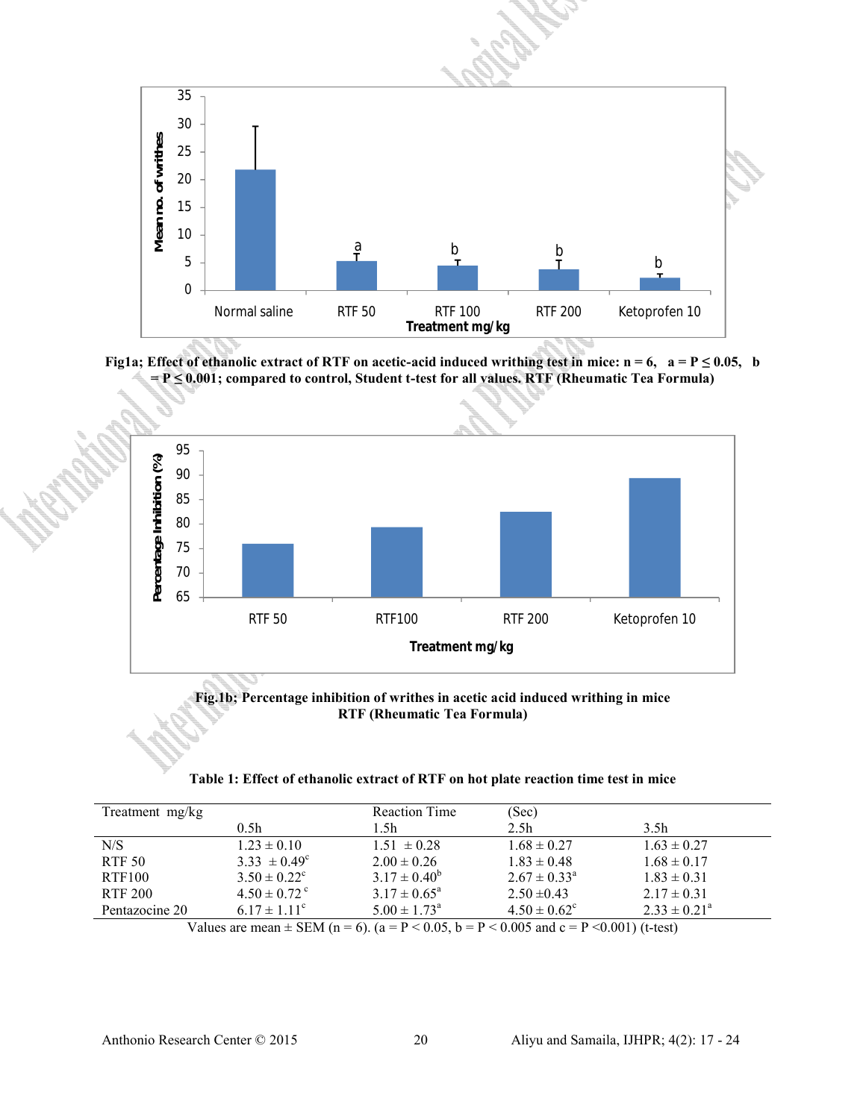

**Fig1a; Effect of ethanolic extract of RTF on acetic-acid induced writhing test in mice:**  $n = 6$ **,**  $a = P \le 0.05$ **, b = P ≤ 0.001; compared to control, Student t-test for all values. RTF (Rheumatic Tea Formula)**



**Fig.1b; Percentage inhibition of writhes in acetic acid induced writhing in mice RTF (Rheumatic Tea Formula)**

| Table 1: Effect of ethanolic extract of RTF on hot plate reaction time test in mice |  |  |
|-------------------------------------------------------------------------------------|--|--|
|-------------------------------------------------------------------------------------|--|--|

| Treatment mg/kg |                              | <b>Reaction Time</b>    | (Sec)                      |                         |
|-----------------|------------------------------|-------------------------|----------------------------|-------------------------|
|                 | 0.5 <sub>h</sub>             | 1.5h                    | 2.5 <sub>h</sub>           | 3.5 <sub>h</sub>        |
| N/S             | $1.23 \pm 0.10$              | $1.51 \pm 0.28$         | $1.68 \pm 0.27$            | $1.63 \pm 0.27$         |
| <b>RTF 50</b>   | $3.33 \pm 0.49^{\circ}$      | $2.00 \pm 0.26$         | $1.83 \pm 0.48$            | $1.68 \pm 0.17$         |
| RTF100          | $3.50 \pm 0.22^{\circ}$      | $3.17 \pm 0.40^b$       | $2.67 \pm 0.33^{\text{a}}$ | $1.83 \pm 0.31$         |
| RTF 200         | $4.50 \pm 0.72$ <sup>c</sup> | $3.17 \pm 0.65^{\circ}$ | $2.50 \pm 0.43$            | $2.17 \pm 0.31$         |
| Pentazocine 20  | $6.17 \pm 1.11^{\circ}$      | $5.00 \pm 1.73^{\circ}$ | $4.50 \pm 0.62^{\circ}$    | $2.33 \pm 0.21^{\circ}$ |

Values are mean  $\pm$  SEM (n = 6). (a = P < 0.05, b = P < 0.005 and c = P < 0.001) (t-test)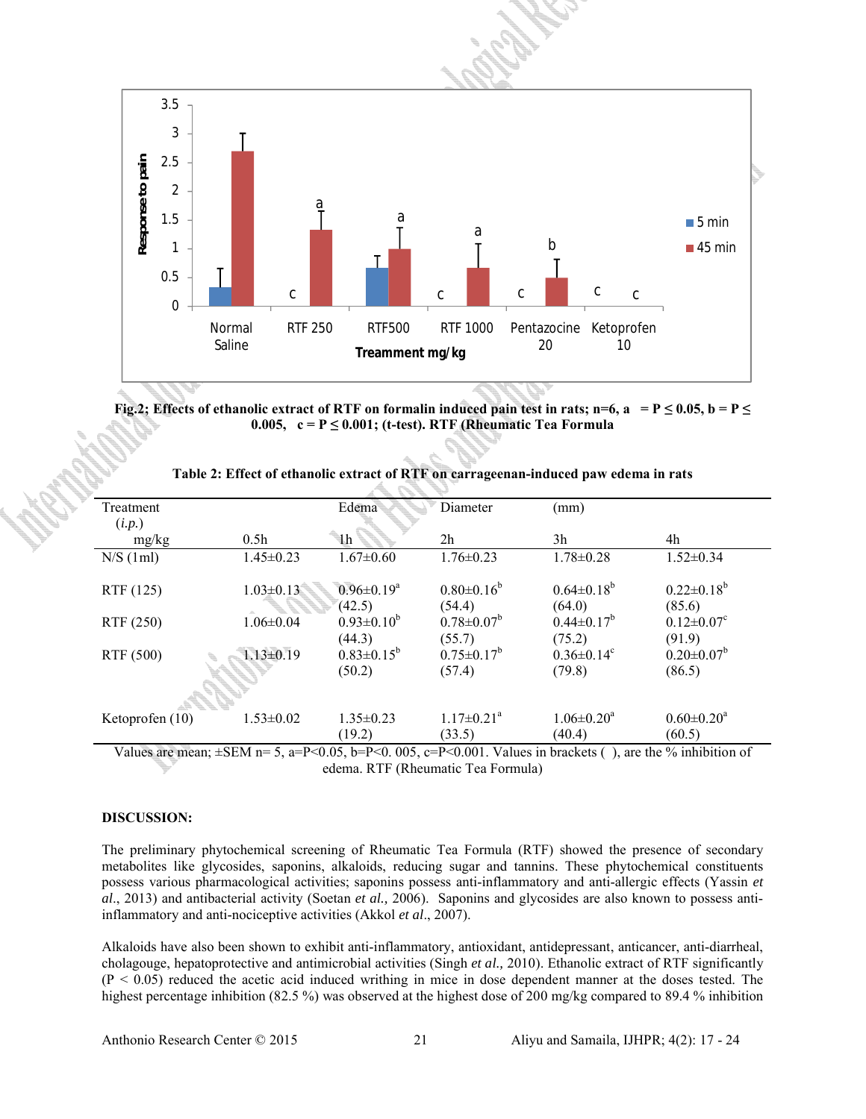

**Fig.2; Effects of ethanolic extract of RTF on formalin induced pain test in rats; n=6, a = P**  $\leq$  **0.05, b = P**  $\leq$ **0.005, c = P ≤ 0.001; (t-test). RTF (Rheumatic Tea Formula**

| Treatment<br>(i.p.) |                  | Edema                       | Diameter                               | (mm)                                                                                                                                                         |                                        |
|---------------------|------------------|-----------------------------|----------------------------------------|--------------------------------------------------------------------------------------------------------------------------------------------------------------|----------------------------------------|
| mg/kg               | 0.5 <sub>h</sub> | 1 <sup>h</sup>              | 2 <sub>h</sub>                         | 3h                                                                                                                                                           | 4h                                     |
| N/S(1ml)            | $1.45 \pm 0.23$  | $1.67 \pm 0.60$             | $1.76 \pm 0.23$                        | $1.78 \pm 0.28$                                                                                                                                              | $1.52 \pm 0.34$                        |
| RTF (125)           | $1.03 \pm 0.13$  | $0.96 \pm 0.19^a$<br>(42.5) | $0.80 \pm 0.16^b$<br>(54.4)            | $0.64 \pm 0.18^b$<br>(64.0)                                                                                                                                  | $0.22 \pm 0.18^b$<br>(85.6)            |
| RTF (250)           | $1.06 \pm 0.04$  | $0.93 \pm 0.10^b$<br>(44.3) | $0.78 \pm 0.07^b$<br>(55.7)            | $0.44 \pm 0.17^b$<br>(75.2)                                                                                                                                  | $0.12 \pm 0.07$ <sup>c</sup><br>(91.9) |
| RTF (500)           | $1.13 \pm 0.19$  | $0.83 \pm 0.15^b$<br>(50.2) | $0.75 \pm 0.17^b$<br>(57.4)            | $0.36 \pm 0.14$ <sup>c</sup><br>(79.8)                                                                                                                       | $0.20 \pm 0.07^b$<br>(86.5)            |
| Ketoprofen (10)     | $1.53 \pm 0.02$  | $1.35 \pm 0.23$<br>(19.2)   | $1.17 \pm 0.21$ <sup>a</sup><br>(33.5) | $1.06 \pm 0.20$ <sup>a</sup><br>(40.4)<br>$\mathbf{D} \times \mathbf{0}$ and $\mathbf{V}$ . Leads in the close ( ) and the $\mathbf{0}$ ( ) in this is a set | $0.60 \pm 0.20^a$<br>(60.5)            |

| Table 2: Effect of ethanolic extract of RTF on carrageenan-induced paw edema in rats |  |
|--------------------------------------------------------------------------------------|--|
|--------------------------------------------------------------------------------------|--|

Values are mean;  $\pm$ SEM n= 5, a=P<0.05, b=P<0.005, c=P<0.001. Values in brackets (), are the % inhibition of edema. RTF (Rheumatic Tea Formula)

### **DISCUSSION:**

The preliminary phytochemical screening of Rheumatic Tea Formula (RTF) showed the presence of secondary metabolites like glycosides, saponins, alkaloids, reducing sugar and tannins. These phytochemical constituents possess various pharmacological activities; saponins possess anti-inflammatory and anti-allergic effects (Yassin *et al*., 2013) and antibacterial activity (Soetan *et al.,* 2006). Saponins and glycosides are also known to possess antiinflammatory and anti-nociceptive activities (Akkol *et al*., 2007).

Alkaloids have also been shown to exhibit anti-inflammatory, antioxidant, antidepressant, anticancer, anti-diarrheal, cholagouge, hepatoprotective and antimicrobial activities (Singh *et al.,* 2010). Ethanolic extract of RTF significantly  $(P < 0.05)$  reduced the acetic acid induced writhing in mice in dose dependent manner at the doses tested. The highest percentage inhibition (82.5 %) was observed at the highest dose of 200 mg/kg compared to 89.4 % inhibition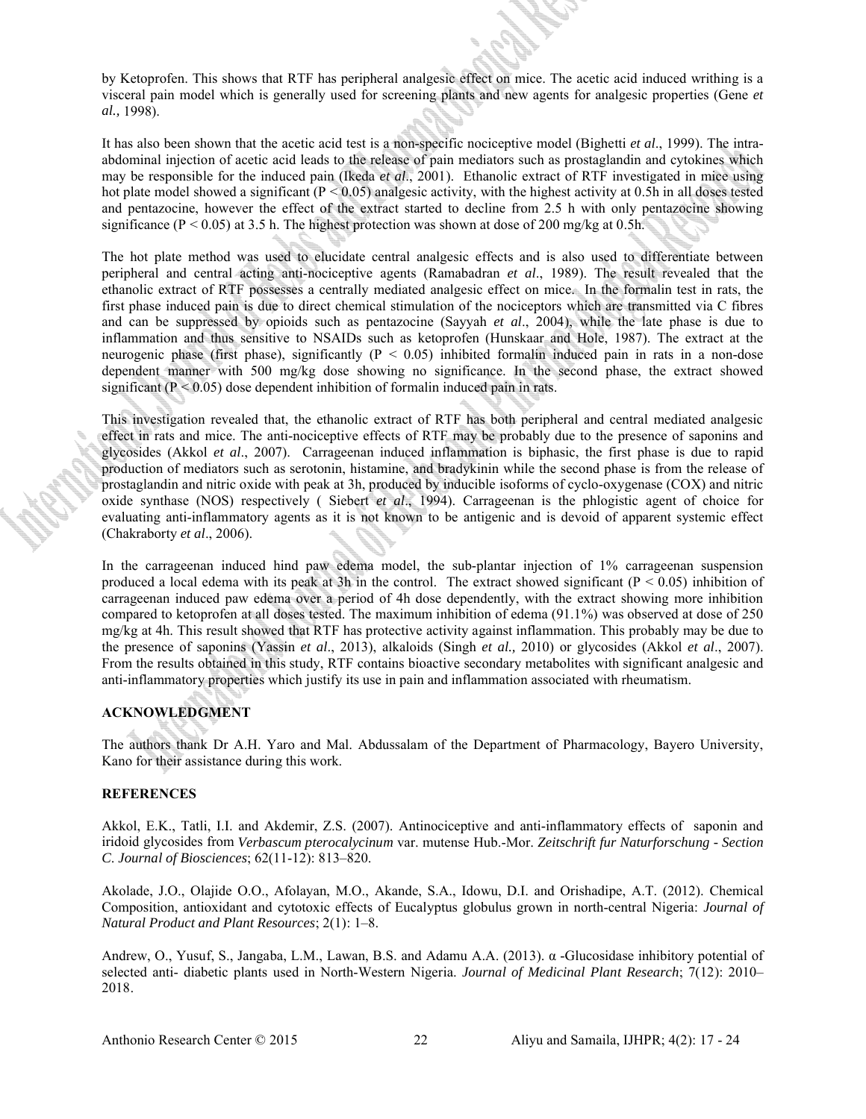by Ketoprofen. This shows that RTF has peripheral analgesic effect on mice. The acetic acid induced writhing is a visceral pain model which is generally used for screening plants and new agents for analgesic properties (Gene *et al.,* 1998).

It has also been shown that the acetic acid test is a non-specific nociceptive model (Bighetti *et al*., 1999). The intraabdominal injection of acetic acid leads to the release of pain mediators such as prostaglandin and cytokines which may be responsible for the induced pain (Ikeda *et al*., 2001). Ethanolic extract of RTF investigated in mice using hot plate model showed a significant ( $P < 0.05$ ) analgesic activity, with the highest activity at 0.5h in all doses tested and pentazocine, however the effect of the extract started to decline from 2.5 h with only pentazocine showing significance ( $P < 0.05$ ) at 3.5 h. The highest protection was shown at dose of 200 mg/kg at 0.5h.

The hot plate method was used to elucidate central analgesic effects and is also used to differentiate between peripheral and central acting anti-nociceptive agents (Ramabadran *et al*., 1989). The result revealed that the ethanolic extract of RTF possesses a centrally mediated analgesic effect on mice. In the formalin test in rats, the first phase induced pain is due to direct chemical stimulation of the nociceptors which are transmitted via C fibres and can be suppressed by opioids such as pentazocine (Sayyah *et al*., 2004), while the late phase is due to inflammation and thus sensitive to NSAIDs such as ketoprofen (Hunskaar and Hole, 1987). The extract at the neurogenic phase (first phase), significantly ( $P < 0.05$ ) inhibited formal induced pain in rats in a non-dose dependent manner with 500 mg/kg dose showing no significance. In the second phase, the extract showed significant ( $P < 0.05$ ) dose dependent inhibition of formalin induced pain in rats.

This investigation revealed that, the ethanolic extract of RTF has both peripheral and central mediated analgesic effect in rats and mice. The anti-nociceptive effects of RTF may be probably due to the presence of saponins and glycosides (Akkol *et al*., 2007). Carrageenan induced inflammation is biphasic, the first phase is due to rapid production of mediators such as serotonin, histamine, and bradykinin while the second phase is from the release of prostaglandin and nitric oxide with peak at 3h, produced by inducible isoforms of cyclo-oxygenase (COX) and nitric oxide synthase (NOS) respectively ( Siebert *et al*., 1994). Carrageenan is the phlogistic agent of choice for evaluating anti-inflammatory agents as it is not known to be antigenic and is devoid of apparent systemic effect (Chakraborty *et al*., 2006).

In the carrageenan induced hind paw edema model, the sub-plantar injection of 1% carrageenan suspension produced a local edema with its peak at 3h in the control. The extract showed significant ( $P < 0.05$ ) inhibition of carrageenan induced paw edema over a period of 4h dose dependently, with the extract showing more inhibition compared to ketoprofen at all doses tested. The maximum inhibition of edema (91.1%) was observed at dose of 250 mg/kg at 4h. This result showed that RTF has protective activity against inflammation. This probably may be due to the presence of saponins (Yassin *et al*., 2013), alkaloids (Singh *et al.,* 2010) or glycosides (Akkol *et al*., 2007). From the results obtained in this study, RTF contains bioactive secondary metabolites with significant analgesic and anti-inflammatory properties which justify its use in pain and inflammation associated with rheumatism.

#### **ACKNOWLEDGMENT**

The authors thank Dr A.H. Yaro and Mal. Abdussalam of the Department of Pharmacology, Bayero University, Kano for their assistance during this work.

## **REFERENCES**

Akkol, E.K., Tatli, I.I. and Akdemir, Z.S. (2007). Antinociceptive and anti-inflammatory effects of saponin and iridoid glycosides from *Verbascum pterocalycinum* var. mutense Hub.-Mor. *Zeitschrift fur Naturforschung - Section C*. *Journal of Biosciences*; 62(11-12): 813–820.

Akolade, J.O., Olajide O.O., Afolayan, M.O., Akande, S.A., Idowu, D.I. and Orishadipe, A.T. (2012). Chemical Composition, antioxidant and cytotoxic effects of Eucalyptus globulus grown in north-central Nigeria: *Journal of Natural Product and Plant Resources*; 2(1): 1–8.

Andrew, O., Yusuf, S., Jangaba, L.M., Lawan, B.S. and Adamu A.A. (2013). α -Glucosidase inhibitory potential of selected anti- diabetic plants used in North-Western Nigeria. *Journal of Medicinal Plant Research*; 7(12): 2010– 2018.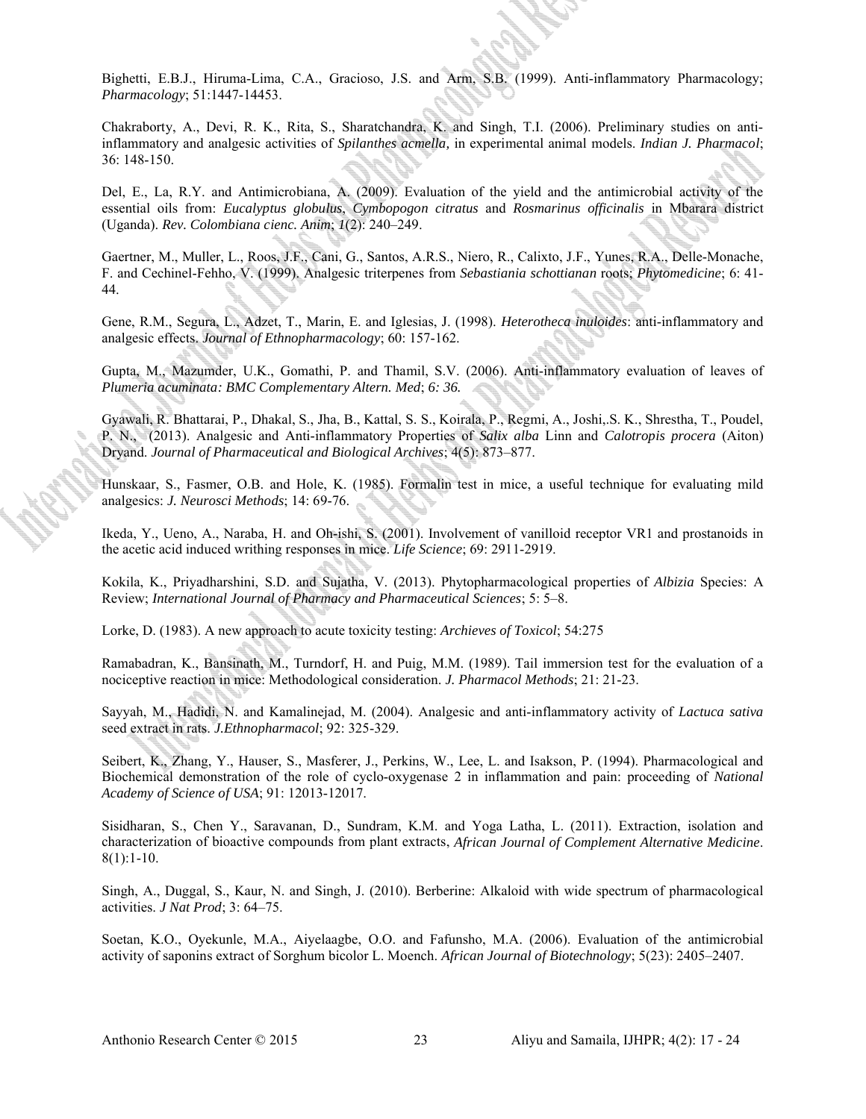Bighetti, E.B.J., Hiruma-Lima, C.A., Gracioso, J.S. and Arm, S.B. (1999). Anti-inflammatory Pharmacology; *Pharmacology*; 51:1447-14453.

Chakraborty, A., Devi, R. K., Rita, S., Sharatchandra, K. and Singh, T.I. (2006). Preliminary studies on antiinflammatory and analgesic activities of *Spilanthes acmella,* in experimental animal models. *Indian J. Pharmacol*; 36: 148-150.

Del, E., La, R.Y. and Antimicrobiana, A. (2009). Evaluation of the yield and the antimicrobial activity of the essential oils from: *Eucalyptus globulus*, *Cymbopogon citratus* and *Rosmarinus officinalis* in Mbarara district (Uganda). *Rev. Colombiana cienc. Anim*; *1*(2): 240–249.

Gaertner, M., Muller, L., Roos, J.F., Cani, G., Santos, A.R.S., Niero, R., Calixto, J.F., Yunes, R.A., Delle-Monache, F. and Cechinel-Fehho, V. (1999). Analgesic triterpenes from *Sebastiania schottianan* roots; *Phytomedicine*; 6: 41- 44.

Gene, R.M., Segura, L., Adzet, T., Marin, E. and Iglesias, J. (1998). *Heterotheca inuloides*: anti-inflammatory and analgesic effects. *Journal of Ethnopharmacology*; 60: 157-162.

Gupta, M., Mazumder, U.K., Gomathi, P. and Thamil, S.V. (2006). Anti-inflammatory evaluation of leaves of *Plumeria acuminata: BMC Complementary Altern. Med*; *6: 36.*

Gyawali, R. Bhattarai, P., Dhakal, S., Jha, B., Kattal, S. S., Koirala, P., Regmi, A., Joshi,.S. K., Shrestha, T., Poudel, P. N., (2013). Analgesic and Anti-inflammatory Properties of *Salix alba* Linn and *Calotropis procera* (Aiton) Dryand. *Journal of Pharmaceutical and Biological Archives*; 4(5): 873–877.

Hunskaar, S., Fasmer, O.B. and Hole, K. (1985). Formalin test in mice, a useful technique for evaluating mild analgesics: *J. Neurosci Methods*; 14: 69-76.

Ikeda, Y., Ueno, A., Naraba, H. and Oh-ishi, S. (2001). Involvement of vanilloid receptor VR1 and prostanoids in the acetic acid induced writhing responses in mice. *Life Science*; 69: 2911-2919.

Kokila, K., Priyadharshini, S.D. and Sujatha, V. (2013). Phytopharmacological properties of *Albizia* Species: A Review; *International Journal of Pharmacy and Pharmaceutical Sciences*; 5: 5–8.

Lorke, D. (1983). A new approach to acute toxicity testing: *Archieves of Toxicol*; 54:275

Ramabadran, K., Bansinath, M., Turndorf, H. and Puig, M.M. (1989). Tail immersion test for the evaluation of a nociceptive reaction in mice: Methodological consideration. *J. Pharmacol Methods*; 21: 21-23.

Sayyah, M., Hadidi, N. and Kamalinejad, M. (2004). Analgesic and anti-inflammatory activity of *Lactuca sativa*  seed extract in rats. *J.Ethnopharmacol*; 92: 325-329.

Seibert, K., Zhang, Y., Hauser, S., Masferer, J., Perkins, W., Lee, L. and Isakson, P. (1994). Pharmacological and Biochemical demonstration of the role of cyclo-oxygenase 2 in inflammation and pain: proceeding of *National Academy of Science of USA*; 91: 12013-12017.

Sisidharan, S., Chen Y., Saravanan, D., Sundram, K.M. and Yoga Latha, L. (2011). Extraction, isolation and characterization of bioactive compounds from plant extracts, *African Journal of Complement Alternative Medicine*.  $8(1):1-10.$ 

Singh, A., Duggal, S., Kaur, N. and Singh, J. (2010). Berberine: Alkaloid with wide spectrum of pharmacological activities. *J Nat Prod*; 3: 64–75.

Soetan, K.O., Oyekunle, M.A., Aiyelaagbe, O.O. and Fafunsho, M.A. (2006). Evaluation of the antimicrobial activity of saponins extract of Sorghum bicolor L. Moench. *African Journal of Biotechnology*; 5(23): 2405–2407.